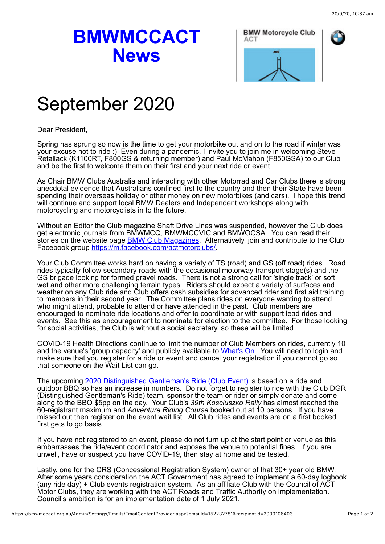## **BMWMCCACT News**





## September 2020

Dear President,

Spring has sprung so now is the time to get your motorbike out and on to the road if winter was your excuse not to ride :) Even during a pandemic, I invite you to join me in welcoming Steve Retallack (K1100RT, F800GS & returning member) and Paul McMahon (F850GSA) to our Club and be the first to welcome them on their first and your next ride or event.

As Chair BMW Clubs Australia and interacting with other Motorrad and Car Clubs there is strong anecdotal evidence that Australians confined first to the country and then their State have been spending their overseas holiday or other money on new motorbikes (and cars). I hope this trend will continue and support local BMW Dealers and Independent workshops along with motorcycling and motorcyclists in to the future.

Without an Editor the Club magazine Shaft Drive Lines was suspended, however the Club does get electronic journals from BMWMCQ, BMWMCCVIC and BMWOCSA. You can read their stories on the website page **BMW Club Magazines.** Alternatively, join and contribute to the Club Facebook group [https://m.facebook.com/actmotorclubs/](https://m.facebook.com/actmotorclubs).

Your Club Committee works hard on having a variety of TS (road) and GS (off road) rides. Road rides typically follow secondary roads with the occasional motorway transport stage(s) and the GS brigade looking for formed gravel roads. There is not a strong call for 'single track' or soft, wet and other more challenging terrain types. Riders should expect a variety of surfaces and weather on any Club ride and Club offers cash subsidies for advanced rider and first aid training to members in their second year. The Committee plans rides on everyone wanting to attend, who might attend, probable to attend or have attended in the past. Club members are encouraged to nominate ride locations and offer to coordinate or with support lead rides and events. See this as encouragement to nominate for election to the committee. For those looking for social activities, the Club is without a social secretary, so these will be limited.

COVID-19 Health Directions continue to limit the number of Club Members on rides, currently 10 and the venue's 'group capacity' and publicly available to [What's On.](https://www.bmwmccact.org.au/page-1419638) You will need to login and make sure that you register for a ride or event and cancel your registration if you cannot go so that someone on the Wait List can go.

The upcoming [2020 Distinguished Gentleman's Ride \(Club Event\)](https://www.bmwmccact.org.au/event-3956818) is based on a ride and outdoor BBQ so has an increase in numbers. Do not forget to register to ride with the Club DGR (Distinguished Gentleman's Ride) team, sponsor the team or rider or simply donate and come along to the BBQ \$5pp on the day. Your Club's *39th Kosciuszko Rally* has almost reached the 60-registrant maximum and *Adventure Riding Course* booked out at 10 persons. If you have missed out then register on the event wait list. All Club rides and events are on a first booked first gets to go basis.

If you have not registered to an event, please do not turn up at the start point or venue as this embarrasses the ride/event coordinator and exposes the venue to potential fines. If you are unwell, have or suspect you have COVID-19, then stay at home and be tested.

Lastly, one for the CRS (Concessional Registration System) owner of that 30+ year old BMW. After some years consideration the ACT Government has agreed to implement a 60-day logbook (any ride day) + Club events registration system. As an affiliate Club with the Council of ACT Motor Clubs, they are working with the ACT Roads and Traffic Authority on implementation. Council's ambition is for an implementation date of 1 July 2021.